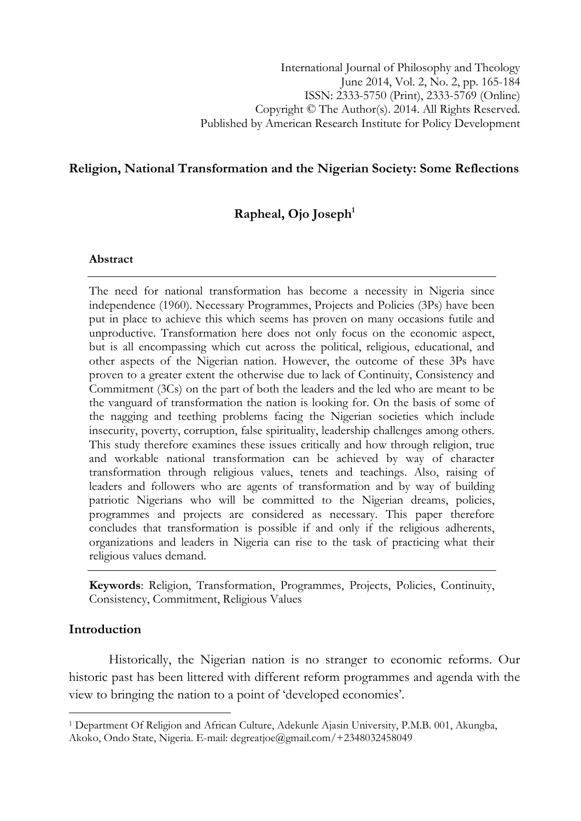## Religion, National Transformation and the Nigerian Society: Some Reflections

# Rapheal,  $O$ jo Joseph $<sup>1</sup>$ </sup>

#### Abstract

The need for national transformation has become a necessity in Nigeria since independence (1960). Necessary Programmes, Projects and Policies (3Ps) have been put in place to achieve this which seems has proven on many occasions futile and unproductive. Transformation here does not only focus on the economic aspect, but is all encompassing which cut across the political, religious, educational, and other aspects of the Nigerian nation. However, the outcome of these 3Ps have proven to a greater extent the otherwise due to lack of Continuity, Consistency and Commitment (3Cs) on the part of both the leaders and the led who are meant to be the vanguard of transformation the nation is looking for. On the basis of some of the nagging and teething problems facing the Nigerian societies which include insecurity, poverty, corruption, false spirituality, leadership challenges among others. This study therefore examines these issues critically and how through religion, true and workable national transformation can be achieved by way of character transformation through religious values, tenets and teachings. Also, raising of leaders and followers who are agents of transformation and by way of building patriotic Nigerians who will be committed to the Nigerian dreams, policies, programmes and projects are considered as necessary. This paper therefore concludes that transformation is possible if and only if the religious adherents, organizations and leaders in Nigeria can rise to the task of practicing what their religious values demand.

Keywords: Religion, Transformation, Programmes, Projects, Policies, Continuity, Consistency, Commitment, Religious Values

## Introduction

l

Historically, the Nigerian nation is no stranger to economic reforms. Our historic past has been littered with different reform programmes and agenda with the view to bringing the nation to a point of 'developed economies'.

<sup>1</sup> Department Of Religion and African Culture, Adekunle Ajasin University, P.M.B. 001, Akungba, Akoko, Ondo State, Nigeria. E-mail: degreatjoe@gmail.com/+2348032458049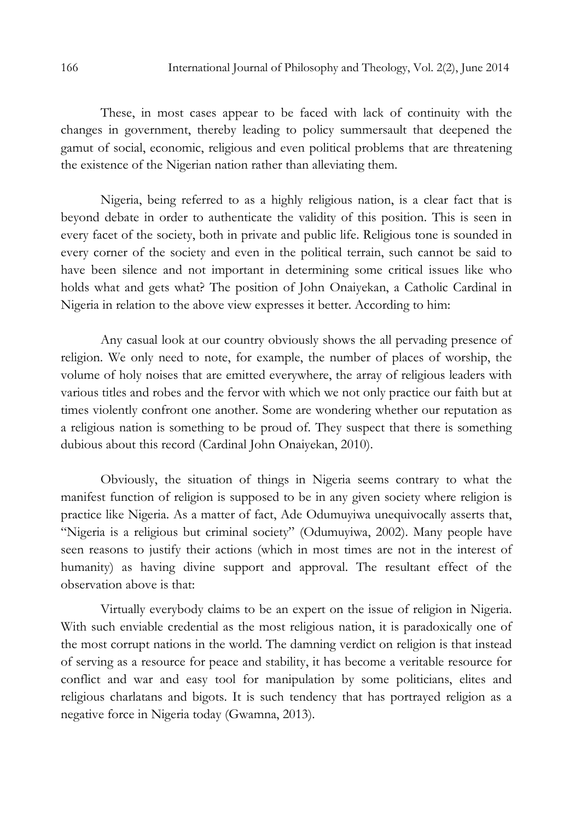These, in most cases appear to be faced with lack of continuity with the changes in government, thereby leading to policy summersault that deepened the gamut of social, economic, religious and even political problems that are threatening the existence of the Nigerian nation rather than alleviating them.

Nigeria, being referred to as a highly religious nation, is a clear fact that is beyond debate in order to authenticate the validity of this position. This is seen in every facet of the society, both in private and public life. Religious tone is sounded in every corner of the society and even in the political terrain, such cannot be said to have been silence and not important in determining some critical issues like who holds what and gets what? The position of John Onaiyekan, a Catholic Cardinal in Nigeria in relation to the above view expresses it better. According to him:

Any casual look at our country obviously shows the all pervading presence of religion. We only need to note, for example, the number of places of worship, the volume of holy noises that are emitted everywhere, the array of religious leaders with various titles and robes and the fervor with which we not only practice our faith but at times violently confront one another. Some are wondering whether our reputation as a religious nation is something to be proud of. They suspect that there is something dubious about this record (Cardinal John Onaiyekan, 2010).

Obviously, the situation of things in Nigeria seems contrary to what the manifest function of religion is supposed to be in any given society where religion is practice like Nigeria. As a matter of fact, Ade Odumuyiwa unequivocally asserts that, "Nigeria is a religious but criminal society" (Odumuyiwa, 2002). Many people have seen reasons to justify their actions (which in most times are not in the interest of humanity) as having divine support and approval. The resultant effect of the observation above is that:

Virtually everybody claims to be an expert on the issue of religion in Nigeria. With such enviable credential as the most religious nation, it is paradoxically one of the most corrupt nations in the world. The damning verdict on religion is that instead of serving as a resource for peace and stability, it has become a veritable resource for conflict and war and easy tool for manipulation by some politicians, elites and religious charlatans and bigots. It is such tendency that has portrayed religion as a negative force in Nigeria today (Gwamna, 2013).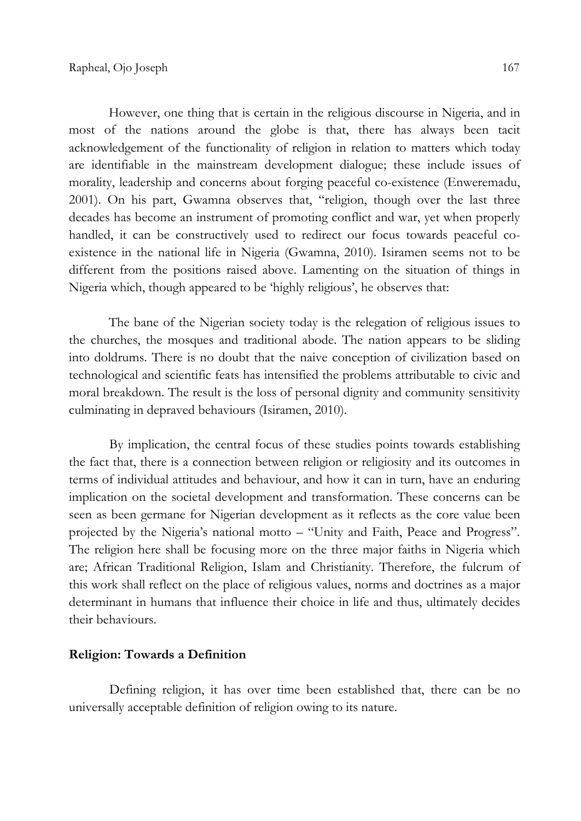However, one thing that is certain in the religious discourse in Nigeria, and in most of the nations around the globe is that, there has always been tacit acknowledgement of the functionality of religion in relation to matters which today are identifiable in the mainstream development dialogue; these include issues of morality, leadership and concerns about forging peaceful co-existence (Enweremadu, 2001). On his part, Gwamna observes that, "religion, though over the last three decades has become an instrument of promoting conflict and war, yet when properly handled, it can be constructively used to redirect our focus towards peaceful coexistence in the national life in Nigeria (Gwamna, 2010). Isiramen seems not to be different from the positions raised above. Lamenting on the situation of things in Nigeria which, though appeared to be 'highly religious', he observes that:

The bane of the Nigerian society today is the relegation of religious issues to the churches, the mosques and traditional abode. The nation appears to be sliding into doldrums. There is no doubt that the naive conception of civilization based on technological and scientific feats has intensified the problems attributable to civic and moral breakdown. The result is the loss of personal dignity and community sensitivity culminating in depraved behaviours (Isiramen, 2010).

 By implication, the central focus of these studies points towards establishing the fact that, there is a connection between religion or religiosity and its outcomes in terms of individual attitudes and behaviour, and how it can in turn, have an enduring implication on the societal development and transformation. These concerns can be seen as been germane for Nigerian development as it reflects as the core value been projected by the Nigeria's national motto – "Unity and Faith, Peace and Progress". The religion here shall be focusing more on the three major faiths in Nigeria which are; African Traditional Religion, Islam and Christianity. Therefore, the fulcrum of this work shall reflect on the place of religious values, norms and doctrines as a major determinant in humans that influence their choice in life and thus, ultimately decides their behaviours.

## Religion: Towards a Definition

 Defining religion, it has over time been established that, there can be no universally acceptable definition of religion owing to its nature.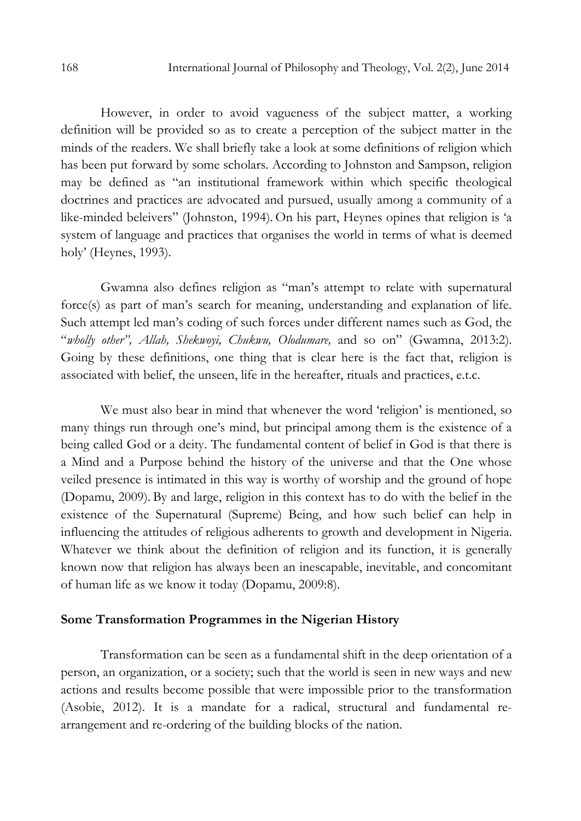However, in order to avoid vagueness of the subject matter, a working definition will be provided so as to create a perception of the subject matter in the minds of the readers. We shall briefly take a look at some definitions of religion which has been put forward by some scholars. According to Johnston and Sampson, religion may be defined as "an institutional framework within which specific theological doctrines and practices are advocated and pursued, usually among a community of a like-minded beleivers" (Johnston, 1994). On his part, Heynes opines that religion is 'a system of language and practices that organises the world in terms of what is deemed holy' (Heynes, 1993).

Gwamna also defines religion as "man's attempt to relate with supernatural force(s) as part of man's search for meaning, understanding and explanation of life. Such attempt led man's coding of such forces under different names such as God, the "wholly other", Allah, Shekwoyi, Chukwu, Olodumare, and so on" (Gwamna, 2013:2). Going by these definitions, one thing that is clear here is the fact that, religion is associated with belief, the unseen, life in the hereafter, rituals and practices, e.t.c.

We must also bear in mind that whenever the word 'religion' is mentioned, so many things run through one's mind, but principal among them is the existence of a being called God or a deity. The fundamental content of belief in God is that there is a Mind and a Purpose behind the history of the universe and that the One whose veiled presence is intimated in this way is worthy of worship and the ground of hope (Dopamu, 2009). By and large, religion in this context has to do with the belief in the existence of the Supernatural (Supreme) Being, and how such belief can help in influencing the attitudes of religious adherents to growth and development in Nigeria. Whatever we think about the definition of religion and its function, it is generally known now that religion has always been an inescapable, inevitable, and concomitant of human life as we know it today (Dopamu, 2009:8).

### Some Transformation Programmes in the Nigerian History

Transformation can be seen as a fundamental shift in the deep orientation of a person, an organization, or a society; such that the world is seen in new ways and new actions and results become possible that were impossible prior to the transformation (Asobie, 2012). It is a mandate for a radical, structural and fundamental rearrangement and re-ordering of the building blocks of the nation.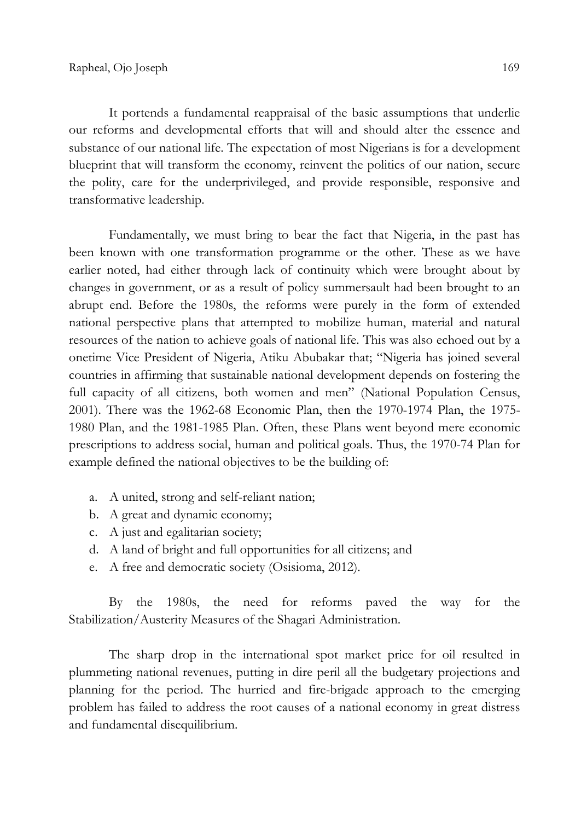It portends a fundamental reappraisal of the basic assumptions that underlie our reforms and developmental efforts that will and should alter the essence and substance of our national life. The expectation of most Nigerians is for a development blueprint that will transform the economy, reinvent the politics of our nation, secure the polity, care for the underprivileged, and provide responsible, responsive and transformative leadership.

Fundamentally, we must bring to bear the fact that Nigeria, in the past has been known with one transformation programme or the other. These as we have earlier noted, had either through lack of continuity which were brought about by changes in government, or as a result of policy summersault had been brought to an abrupt end. Before the 1980s, the reforms were purely in the form of extended national perspective plans that attempted to mobilize human, material and natural resources of the nation to achieve goals of national life. This was also echoed out by a onetime Vice President of Nigeria, Atiku Abubakar that; "Nigeria has joined several countries in affirming that sustainable national development depends on fostering the full capacity of all citizens, both women and men" (National Population Census, 2001). There was the 1962-68 Economic Plan, then the 1970-1974 Plan, the 1975- 1980 Plan, and the 1981-1985 Plan. Often, these Plans went beyond mere economic prescriptions to address social, human and political goals. Thus, the 1970-74 Plan for example defined the national objectives to be the building of:

- a. A united, strong and self-reliant nation;
- b. A great and dynamic economy;
- c. A just and egalitarian society;
- d. A land of bright and full opportunities for all citizens; and
- e. A free and democratic society (Osisioma, 2012).

By the 1980s, the need for reforms paved the way for the Stabilization/Austerity Measures of the Shagari Administration.

The sharp drop in the international spot market price for oil resulted in plummeting national revenues, putting in dire peril all the budgetary projections and planning for the period. The hurried and fire-brigade approach to the emerging problem has failed to address the root causes of a national economy in great distress and fundamental disequilibrium.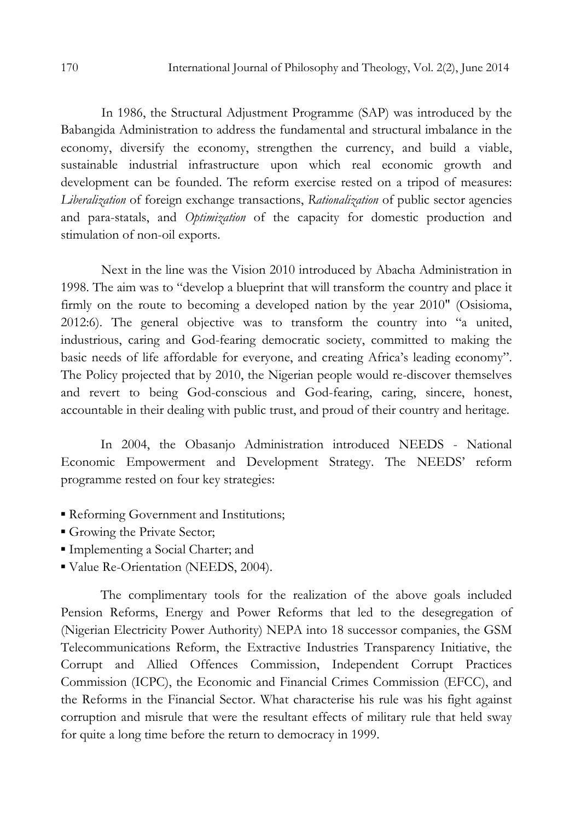In 1986, the Structural Adjustment Programme (SAP) was introduced by the Babangida Administration to address the fundamental and structural imbalance in the economy, diversify the economy, strengthen the currency, and build a viable, sustainable industrial infrastructure upon which real economic growth and development can be founded. The reform exercise rested on a tripod of measures: Liberalization of foreign exchange transactions, Rationalization of public sector agencies and para-statals, and Optimization of the capacity for domestic production and stimulation of non-oil exports.

 Next in the line was the Vision 2010 introduced by Abacha Administration in 1998. The aim was to "develop a blueprint that will transform the country and place it firmly on the route to becoming a developed nation by the year 2010" (Osisioma, 2012:6). The general objective was to transform the country into "a united, industrious, caring and God-fearing democratic society, committed to making the basic needs of life affordable for everyone, and creating Africa's leading economy". The Policy projected that by 2010, the Nigerian people would re-discover themselves and revert to being God-conscious and God-fearing, caring, sincere, honest, accountable in their dealing with public trust, and proud of their country and heritage.

In 2004, the Obasanjo Administration introduced NEEDS - National Economic Empowerment and Development Strategy. The NEEDS' reform programme rested on four key strategies:

- **Reforming Government and Institutions;**
- Growing the Private Sector;
- Implementing a Social Charter; and
- Value Re-Orientation (NEEDS, 2004).

The complimentary tools for the realization of the above goals included Pension Reforms, Energy and Power Reforms that led to the desegregation of (Nigerian Electricity Power Authority) NEPA into 18 successor companies, the GSM Telecommunications Reform, the Extractive Industries Transparency Initiative, the Corrupt and Allied Offences Commission, Independent Corrupt Practices Commission (ICPC), the Economic and Financial Crimes Commission (EFCC), and the Reforms in the Financial Sector. What characterise his rule was his fight against corruption and misrule that were the resultant effects of military rule that held sway for quite a long time before the return to democracy in 1999.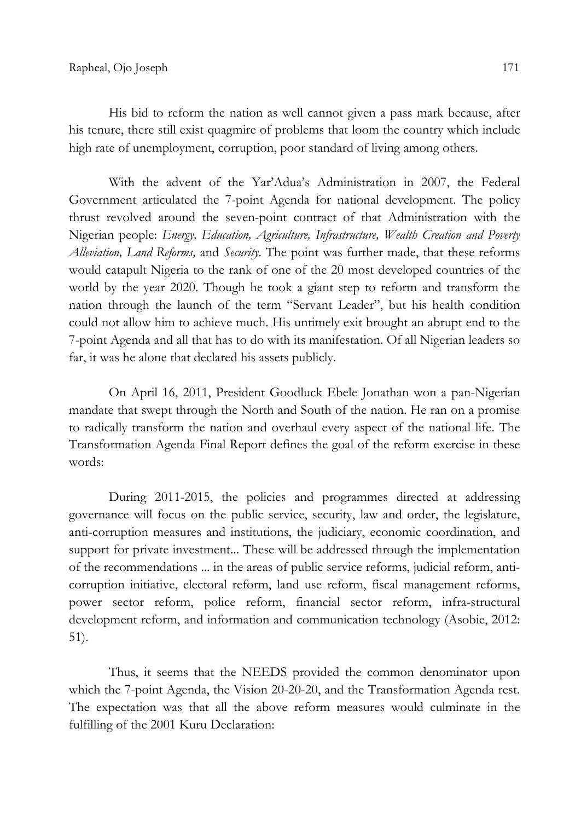His bid to reform the nation as well cannot given a pass mark because, after his tenure, there still exist quagmire of problems that loom the country which include high rate of unemployment, corruption, poor standard of living among others.

With the advent of the Yar'Adua's Administration in 2007, the Federal Government articulated the 7-point Agenda for national development. The policy thrust revolved around the seven-point contract of that Administration with the Nigerian people: Energy, Education, Agriculture, Infrastructure, Wealth Creation and Poverty Alleviation, Land Reforms, and Security. The point was further made, that these reforms would catapult Nigeria to the rank of one of the 20 most developed countries of the world by the year 2020. Though he took a giant step to reform and transform the nation through the launch of the term "Servant Leader", but his health condition could not allow him to achieve much. His untimely exit brought an abrupt end to the 7-point Agenda and all that has to do with its manifestation. Of all Nigerian leaders so far, it was he alone that declared his assets publicly.

On April 16, 2011, President Goodluck Ebele Jonathan won a pan-Nigerian mandate that swept through the North and South of the nation. He ran on a promise to radically transform the nation and overhaul every aspect of the national life. The Transformation Agenda Final Report defines the goal of the reform exercise in these words:

During 2011-2015, the policies and programmes directed at addressing governance will focus on the public service, security, law and order, the legislature, anti-corruption measures and institutions, the judiciary, economic coordination, and support for private investment... These will be addressed through the implementation of the recommendations ... in the areas of public service reforms, judicial reform, anticorruption initiative, electoral reform, land use reform, fiscal management reforms, power sector reform, police reform, financial sector reform, infra-structural development reform, and information and communication technology (Asobie, 2012: 51).

Thus, it seems that the NEEDS provided the common denominator upon which the 7-point Agenda, the Vision 20-20-20, and the Transformation Agenda rest. The expectation was that all the above reform measures would culminate in the fulfilling of the 2001 Kuru Declaration: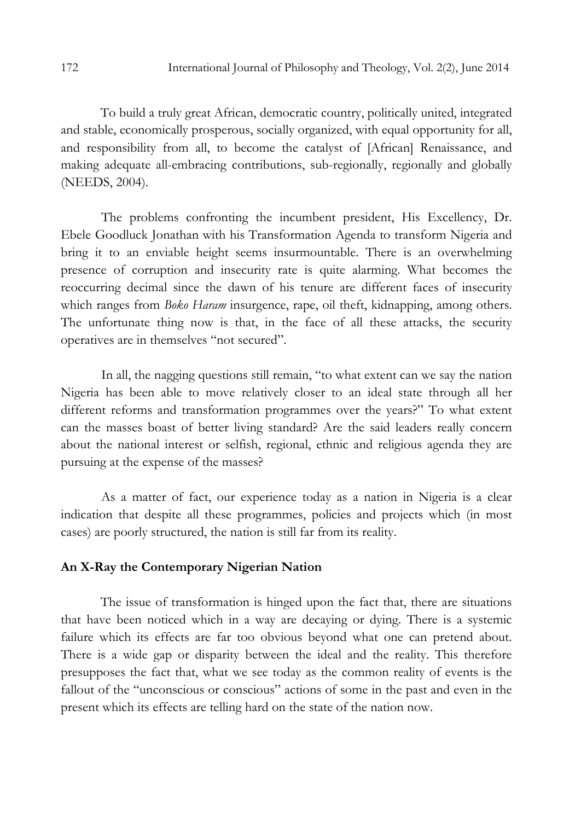To build a truly great African, democratic country, politically united, integrated and stable, economically prosperous, socially organized, with equal opportunity for all, and responsibility from all, to become the catalyst of [African] Renaissance, and making adequate all-embracing contributions, sub-regionally, regionally and globally (NEEDS, 2004).

 The problems confronting the incumbent president, His Excellency, Dr. Ebele Goodluck Jonathan with his Transformation Agenda to transform Nigeria and bring it to an enviable height seems insurmountable. There is an overwhelming presence of corruption and insecurity rate is quite alarming. What becomes the reoccurring decimal since the dawn of his tenure are different faces of insecurity which ranges from Boko Haram insurgence, rape, oil theft, kidnapping, among others. The unfortunate thing now is that, in the face of all these attacks, the security operatives are in themselves "not secured".

 In all, the nagging questions still remain, "to what extent can we say the nation Nigeria has been able to move relatively closer to an ideal state through all her different reforms and transformation programmes over the years?" To what extent can the masses boast of better living standard? Are the said leaders really concern about the national interest or selfish, regional, ethnic and religious agenda they are pursuing at the expense of the masses?

As a matter of fact, our experience today as a nation in Nigeria is a clear indication that despite all these programmes, policies and projects which (in most cases) are poorly structured, the nation is still far from its reality.

### An X-Ray the Contemporary Nigerian Nation

The issue of transformation is hinged upon the fact that, there are situations that have been noticed which in a way are decaying or dying. There is a systemic failure which its effects are far too obvious beyond what one can pretend about. There is a wide gap or disparity between the ideal and the reality. This therefore presupposes the fact that, what we see today as the common reality of events is the fallout of the "unconscious or conscious" actions of some in the past and even in the present which its effects are telling hard on the state of the nation now.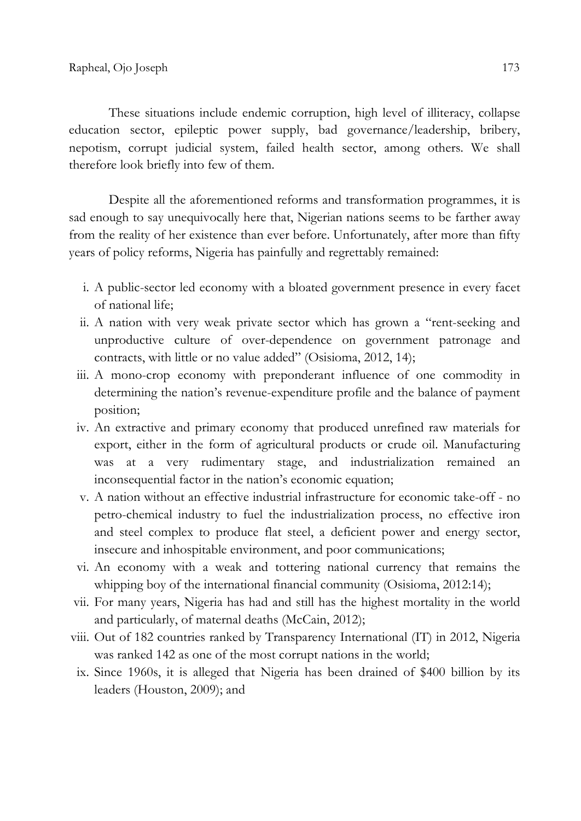These situations include endemic corruption, high level of illiteracy, collapse education sector, epileptic power supply, bad governance/leadership, bribery, nepotism, corrupt judicial system, failed health sector, among others. We shall therefore look briefly into few of them.

Despite all the aforementioned reforms and transformation programmes, it is sad enough to say unequivocally here that, Nigerian nations seems to be farther away from the reality of her existence than ever before. Unfortunately, after more than fifty years of policy reforms, Nigeria has painfully and regrettably remained:

- i. A public-sector led economy with a bloated government presence in every facet of national life;
- ii. A nation with very weak private sector which has grown a "rent-seeking and unproductive culture of over-dependence on government patronage and contracts, with little or no value added" (Osisioma, 2012, 14);
- iii. A mono-crop economy with preponderant influence of one commodity in determining the nation's revenue-expenditure profile and the balance of payment position;
- iv. An extractive and primary economy that produced unrefined raw materials for export, either in the form of agricultural products or crude oil. Manufacturing was at a very rudimentary stage, and industrialization remained an inconsequential factor in the nation's economic equation;
- v. A nation without an effective industrial infrastructure for economic take-off no petro-chemical industry to fuel the industrialization process, no effective iron and steel complex to produce flat steel, a deficient power and energy sector, insecure and inhospitable environment, and poor communications;
- vi. An economy with a weak and tottering national currency that remains the whipping boy of the international financial community (Osisioma, 2012:14);
- vii. For many years, Nigeria has had and still has the highest mortality in the world and particularly, of maternal deaths (McCain, 2012);
- viii. Out of 182 countries ranked by Transparency International (IT) in 2012, Nigeria was ranked 142 as one of the most corrupt nations in the world;
- ix. Since 1960s, it is alleged that Nigeria has been drained of \$400 billion by its leaders (Houston, 2009); and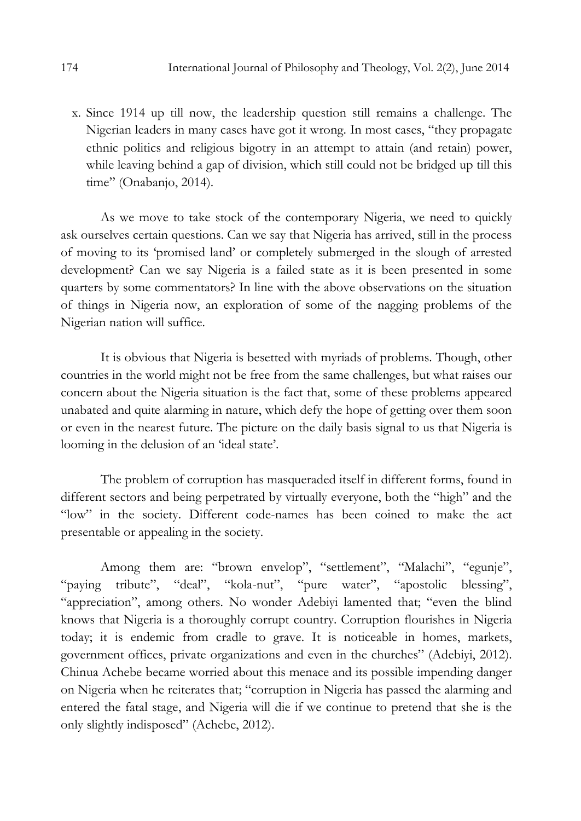x. Since 1914 up till now, the leadership question still remains a challenge. The Nigerian leaders in many cases have got it wrong. In most cases, "they propagate ethnic politics and religious bigotry in an attempt to attain (and retain) power, while leaving behind a gap of division, which still could not be bridged up till this time" (Onabanjo, 2014).

As we move to take stock of the contemporary Nigeria, we need to quickly ask ourselves certain questions. Can we say that Nigeria has arrived, still in the process of moving to its 'promised land' or completely submerged in the slough of arrested development? Can we say Nigeria is a failed state as it is been presented in some quarters by some commentators? In line with the above observations on the situation of things in Nigeria now, an exploration of some of the nagging problems of the Nigerian nation will suffice.

It is obvious that Nigeria is besetted with myriads of problems. Though, other countries in the world might not be free from the same challenges, but what raises our concern about the Nigeria situation is the fact that, some of these problems appeared unabated and quite alarming in nature, which defy the hope of getting over them soon or even in the nearest future. The picture on the daily basis signal to us that Nigeria is looming in the delusion of an 'ideal state'.

The problem of corruption has masqueraded itself in different forms, found in different sectors and being perpetrated by virtually everyone, both the "high" and the "low" in the society. Different code-names has been coined to make the act presentable or appealing in the society.

Among them are: "brown envelop", "settlement", "Malachi", "egunje", "paying tribute", "deal", "kola-nut", "pure water", "apostolic blessing", "appreciation", among others. No wonder Adebiyi lamented that; "even the blind knows that Nigeria is a thoroughly corrupt country. Corruption flourishes in Nigeria today; it is endemic from cradle to grave. It is noticeable in homes, markets, government offices, private organizations and even in the churches" (Adebiyi, 2012). Chinua Achebe became worried about this menace and its possible impending danger on Nigeria when he reiterates that; "corruption in Nigeria has passed the alarming and entered the fatal stage, and Nigeria will die if we continue to pretend that she is the only slightly indisposed" (Achebe, 2012).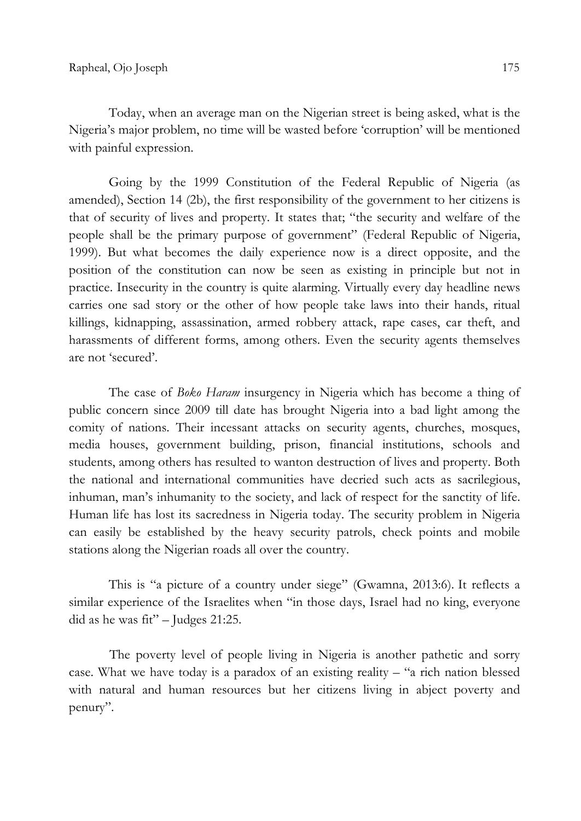Today, when an average man on the Nigerian street is being asked, what is the Nigeria's major problem, no time will be wasted before 'corruption' will be mentioned with painful expression.

Going by the 1999 Constitution of the Federal Republic of Nigeria (as amended), Section 14 (2b), the first responsibility of the government to her citizens is that of security of lives and property. It states that; "the security and welfare of the people shall be the primary purpose of government" (Federal Republic of Nigeria, 1999). But what becomes the daily experience now is a direct opposite, and the position of the constitution can now be seen as existing in principle but not in practice. Insecurity in the country is quite alarming. Virtually every day headline news carries one sad story or the other of how people take laws into their hands, ritual killings, kidnapping, assassination, armed robbery attack, rape cases, car theft, and harassments of different forms, among others. Even the security agents themselves are not 'secured'.

The case of *Boko Haram* insurgency in Nigeria which has become a thing of public concern since 2009 till date has brought Nigeria into a bad light among the comity of nations. Their incessant attacks on security agents, churches, mosques, media houses, government building, prison, financial institutions, schools and students, among others has resulted to wanton destruction of lives and property. Both the national and international communities have decried such acts as sacrilegious, inhuman, man's inhumanity to the society, and lack of respect for the sanctity of life. Human life has lost its sacredness in Nigeria today. The security problem in Nigeria can easily be established by the heavy security patrols, check points and mobile stations along the Nigerian roads all over the country.

This is "a picture of a country under siege" (Gwamna, 2013:6). It reflects a similar experience of the Israelites when "in those days, Israel had no king, everyone did as he was  $fit"$  – Judges 21:25.

The poverty level of people living in Nigeria is another pathetic and sorry case. What we have today is a paradox of an existing reality – "a rich nation blessed with natural and human resources but her citizens living in abject poverty and penury".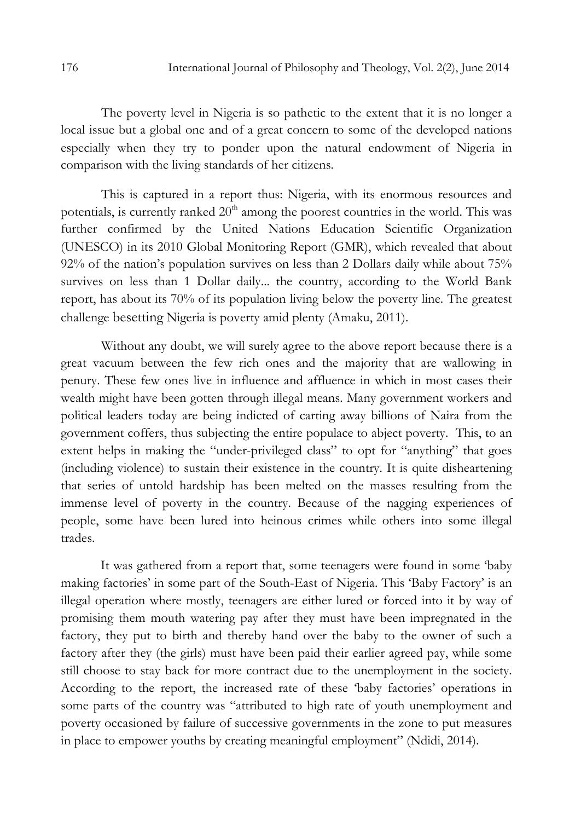The poverty level in Nigeria is so pathetic to the extent that it is no longer a local issue but a global one and of a great concern to some of the developed nations especially when they try to ponder upon the natural endowment of Nigeria in comparison with the living standards of her citizens.

This is captured in a report thus: Nigeria, with its enormous resources and potentials, is currently ranked  $20<sup>th</sup>$  among the poorest countries in the world. This was further confirmed by the United Nations Education Scientific Organization (UNESCO) in its 2010 Global Monitoring Report (GMR), which revealed that about 92% of the nation's population survives on less than 2 Dollars daily while about 75% survives on less than 1 Dollar daily... the country, according to the World Bank report, has about its 70% of its population living below the poverty line. The greatest challenge besetting Nigeria is poverty amid plenty (Amaku, 2011).

 Without any doubt, we will surely agree to the above report because there is a great vacuum between the few rich ones and the majority that are wallowing in penury. These few ones live in influence and affluence in which in most cases their wealth might have been gotten through illegal means. Many government workers and political leaders today are being indicted of carting away billions of Naira from the government coffers, thus subjecting the entire populace to abject poverty. This, to an extent helps in making the "under-privileged class" to opt for "anything" that goes (including violence) to sustain their existence in the country. It is quite disheartening that series of untold hardship has been melted on the masses resulting from the immense level of poverty in the country. Because of the nagging experiences of people, some have been lured into heinous crimes while others into some illegal trades.

It was gathered from a report that, some teenagers were found in some 'baby making factories' in some part of the South-East of Nigeria. This 'Baby Factory' is an illegal operation where mostly, teenagers are either lured or forced into it by way of promising them mouth watering pay after they must have been impregnated in the factory, they put to birth and thereby hand over the baby to the owner of such a factory after they (the girls) must have been paid their earlier agreed pay, while some still choose to stay back for more contract due to the unemployment in the society. According to the report, the increased rate of these 'baby factories' operations in some parts of the country was "attributed to high rate of youth unemployment and poverty occasioned by failure of successive governments in the zone to put measures in place to empower youths by creating meaningful employment" (Ndidi, 2014).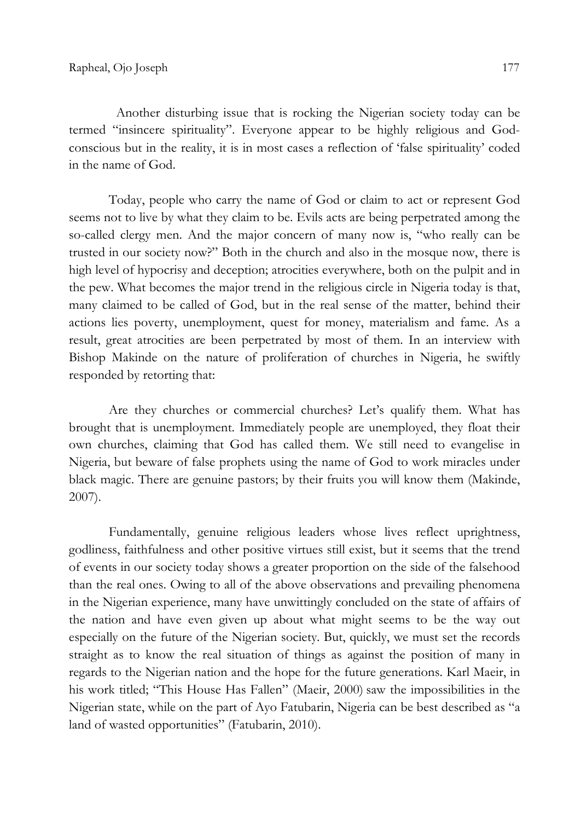Another disturbing issue that is rocking the Nigerian society today can be termed "insincere spirituality". Everyone appear to be highly religious and Godconscious but in the reality, it is in most cases a reflection of 'false spirituality' coded in the name of God.

Today, people who carry the name of God or claim to act or represent God seems not to live by what they claim to be. Evils acts are being perpetrated among the so-called clergy men. And the major concern of many now is, "who really can be trusted in our society now?" Both in the church and also in the mosque now, there is high level of hypocrisy and deception; atrocities everywhere, both on the pulpit and in the pew. What becomes the major trend in the religious circle in Nigeria today is that, many claimed to be called of God, but in the real sense of the matter, behind their actions lies poverty, unemployment, quest for money, materialism and fame. As a result, great atrocities are been perpetrated by most of them. In an interview with Bishop Makinde on the nature of proliferation of churches in Nigeria, he swiftly responded by retorting that:

Are they churches or commercial churches? Let's qualify them. What has brought that is unemployment. Immediately people are unemployed, they float their own churches, claiming that God has called them. We still need to evangelise in Nigeria, but beware of false prophets using the name of God to work miracles under black magic. There are genuine pastors; by their fruits you will know them (Makinde, 2007).

Fundamentally, genuine religious leaders whose lives reflect uprightness, godliness, faithfulness and other positive virtues still exist, but it seems that the trend of events in our society today shows a greater proportion on the side of the falsehood than the real ones. Owing to all of the above observations and prevailing phenomena in the Nigerian experience, many have unwittingly concluded on the state of affairs of the nation and have even given up about what might seems to be the way out especially on the future of the Nigerian society. But, quickly, we must set the records straight as to know the real situation of things as against the position of many in regards to the Nigerian nation and the hope for the future generations. Karl Maeir, in his work titled; "This House Has Fallen" (Maeir, 2000) saw the impossibilities in the Nigerian state, while on the part of Ayo Fatubarin, Nigeria can be best described as "a land of wasted opportunities" (Fatubarin, 2010).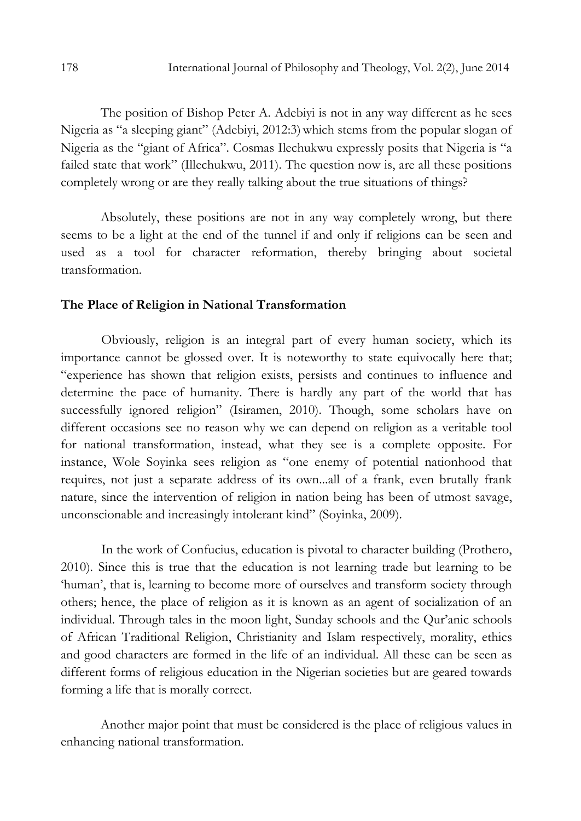The position of Bishop Peter A. Adebiyi is not in any way different as he sees Nigeria as "a sleeping giant" (Adebiyi, 2012:3) which stems from the popular slogan of Nigeria as the "giant of Africa". Cosmas Ilechukwu expressly posits that Nigeria is "a failed state that work" (Illechukwu, 2011). The question now is, are all these positions completely wrong or are they really talking about the true situations of things?

Absolutely, these positions are not in any way completely wrong, but there seems to be a light at the end of the tunnel if and only if religions can be seen and used as a tool for character reformation, thereby bringing about societal transformation.

#### The Place of Religion in National Transformation

Obviously, religion is an integral part of every human society, which its importance cannot be glossed over. It is noteworthy to state equivocally here that; "experience has shown that religion exists, persists and continues to influence and determine the pace of humanity. There is hardly any part of the world that has successfully ignored religion" (Isiramen, 2010). Though, some scholars have on different occasions see no reason why we can depend on religion as a veritable tool for national transformation, instead, what they see is a complete opposite. For instance, Wole Soyinka sees religion as "one enemy of potential nationhood that requires, not just a separate address of its own...all of a frank, even brutally frank nature, since the intervention of religion in nation being has been of utmost savage, unconscionable and increasingly intolerant kind" (Soyinka, 2009).

 In the work of Confucius, education is pivotal to character building (Prothero, 2010). Since this is true that the education is not learning trade but learning to be 'human', that is, learning to become more of ourselves and transform society through others; hence, the place of religion as it is known as an agent of socialization of an individual. Through tales in the moon light, Sunday schools and the Qur'anic schools of African Traditional Religion, Christianity and Islam respectively, morality, ethics and good characters are formed in the life of an individual. All these can be seen as different forms of religious education in the Nigerian societies but are geared towards forming a life that is morally correct.

Another major point that must be considered is the place of religious values in enhancing national transformation.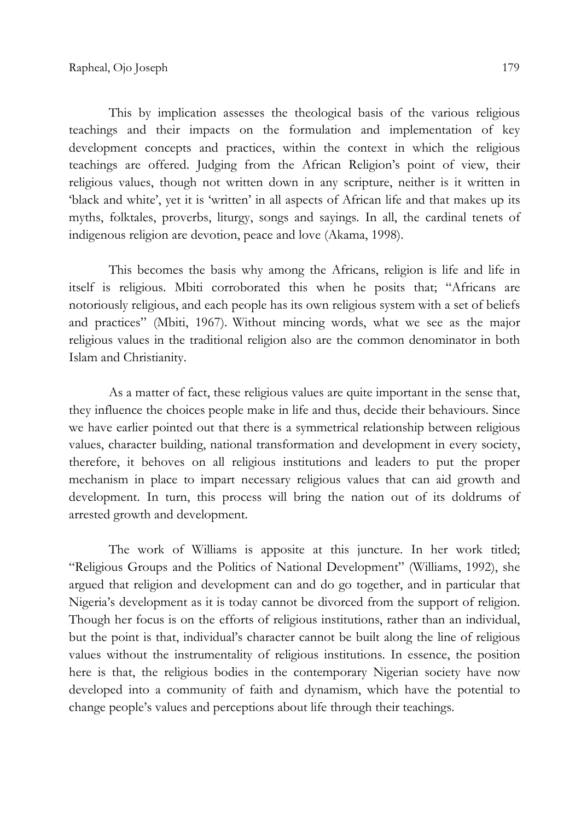This by implication assesses the theological basis of the various religious teachings and their impacts on the formulation and implementation of key development concepts and practices, within the context in which the religious teachings are offered. Judging from the African Religion's point of view, their religious values, though not written down in any scripture, neither is it written in 'black and white', yet it is 'written' in all aspects of African life and that makes up its myths, folktales, proverbs, liturgy, songs and sayings. In all, the cardinal tenets of indigenous religion are devotion, peace and love (Akama, 1998).

This becomes the basis why among the Africans, religion is life and life in itself is religious. Mbiti corroborated this when he posits that; "Africans are notoriously religious, and each people has its own religious system with a set of beliefs and practices" (Mbiti, 1967). Without mincing words, what we see as the major religious values in the traditional religion also are the common denominator in both Islam and Christianity.

As a matter of fact, these religious values are quite important in the sense that, they influence the choices people make in life and thus, decide their behaviours. Since we have earlier pointed out that there is a symmetrical relationship between religious values, character building, national transformation and development in every society, therefore, it behoves on all religious institutions and leaders to put the proper mechanism in place to impart necessary religious values that can aid growth and development. In turn, this process will bring the nation out of its doldrums of arrested growth and development.

The work of Williams is apposite at this juncture. In her work titled; "Religious Groups and the Politics of National Development" (Williams, 1992), she argued that religion and development can and do go together, and in particular that Nigeria's development as it is today cannot be divorced from the support of religion. Though her focus is on the efforts of religious institutions, rather than an individual, but the point is that, individual's character cannot be built along the line of religious values without the instrumentality of religious institutions. In essence, the position here is that, the religious bodies in the contemporary Nigerian society have now developed into a community of faith and dynamism, which have the potential to change people's values and perceptions about life through their teachings.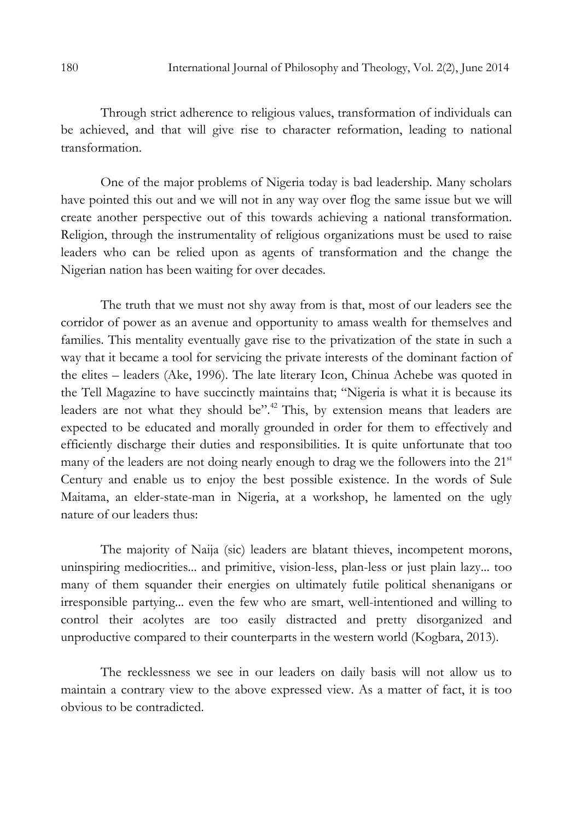Through strict adherence to religious values, transformation of individuals can be achieved, and that will give rise to character reformation, leading to national transformation.

One of the major problems of Nigeria today is bad leadership. Many scholars have pointed this out and we will not in any way over flog the same issue but we will create another perspective out of this towards achieving a national transformation. Religion, through the instrumentality of religious organizations must be used to raise leaders who can be relied upon as agents of transformation and the change the Nigerian nation has been waiting for over decades.

The truth that we must not shy away from is that, most of our leaders see the corridor of power as an avenue and opportunity to amass wealth for themselves and families. This mentality eventually gave rise to the privatization of the state in such a way that it became a tool for servicing the private interests of the dominant faction of the elites – leaders (Ake, 1996). The late literary Icon, Chinua Achebe was quoted in the Tell Magazine to have succinctly maintains that; "Nigeria is what it is because its leaders are not what they should be".<sup>42</sup> This, by extension means that leaders are expected to be educated and morally grounded in order for them to effectively and efficiently discharge their duties and responsibilities. It is quite unfortunate that too many of the leaders are not doing nearly enough to drag we the followers into the  $21<sup>st</sup>$ Century and enable us to enjoy the best possible existence. In the words of Sule Maitama, an elder-state-man in Nigeria, at a workshop, he lamented on the ugly nature of our leaders thus:

The majority of Naija (sic) leaders are blatant thieves, incompetent morons, uninspiring mediocrities... and primitive, vision-less, plan-less or just plain lazy... too many of them squander their energies on ultimately futile political shenanigans or irresponsible partying... even the few who are smart, well-intentioned and willing to control their acolytes are too easily distracted and pretty disorganized and unproductive compared to their counterparts in the western world (Kogbara, 2013).

The recklessness we see in our leaders on daily basis will not allow us to maintain a contrary view to the above expressed view. As a matter of fact, it is too obvious to be contradicted.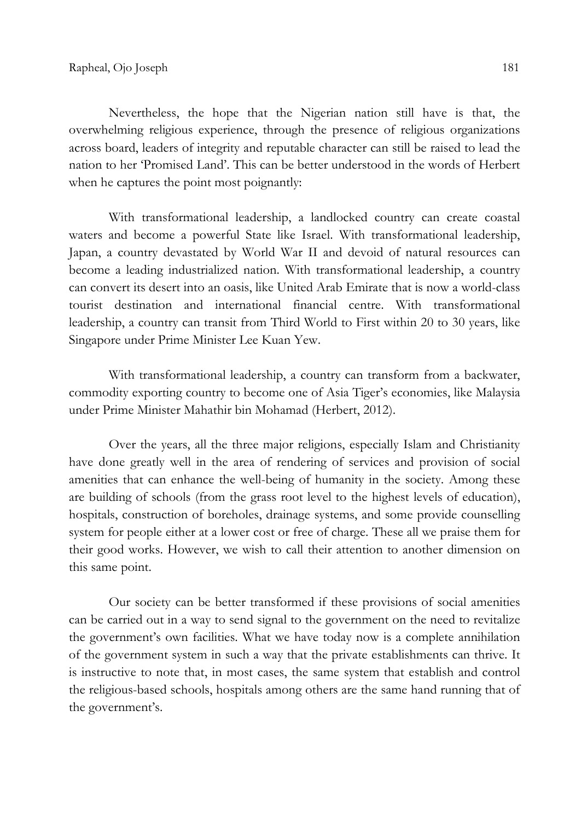Nevertheless, the hope that the Nigerian nation still have is that, the overwhelming religious experience, through the presence of religious organizations across board, leaders of integrity and reputable character can still be raised to lead the nation to her 'Promised Land'. This can be better understood in the words of Herbert when he captures the point most poignantly:

With transformational leadership, a landlocked country can create coastal waters and become a powerful State like Israel. With transformational leadership, Japan, a country devastated by World War II and devoid of natural resources can become a leading industrialized nation. With transformational leadership, a country can convert its desert into an oasis, like United Arab Emirate that is now a world-class tourist destination and international financial centre. With transformational leadership, a country can transit from Third World to First within 20 to 30 years, like Singapore under Prime Minister Lee Kuan Yew.

With transformational leadership, a country can transform from a backwater, commodity exporting country to become one of Asia Tiger's economies, like Malaysia under Prime Minister Mahathir bin Mohamad (Herbert, 2012).

Over the years, all the three major religions, especially Islam and Christianity have done greatly well in the area of rendering of services and provision of social amenities that can enhance the well-being of humanity in the society. Among these are building of schools (from the grass root level to the highest levels of education), hospitals, construction of boreholes, drainage systems, and some provide counselling system for people either at a lower cost or free of charge. These all we praise them for their good works. However, we wish to call their attention to another dimension on this same point.

Our society can be better transformed if these provisions of social amenities can be carried out in a way to send signal to the government on the need to revitalize the government's own facilities. What we have today now is a complete annihilation of the government system in such a way that the private establishments can thrive. It is instructive to note that, in most cases, the same system that establish and control the religious-based schools, hospitals among others are the same hand running that of the government's.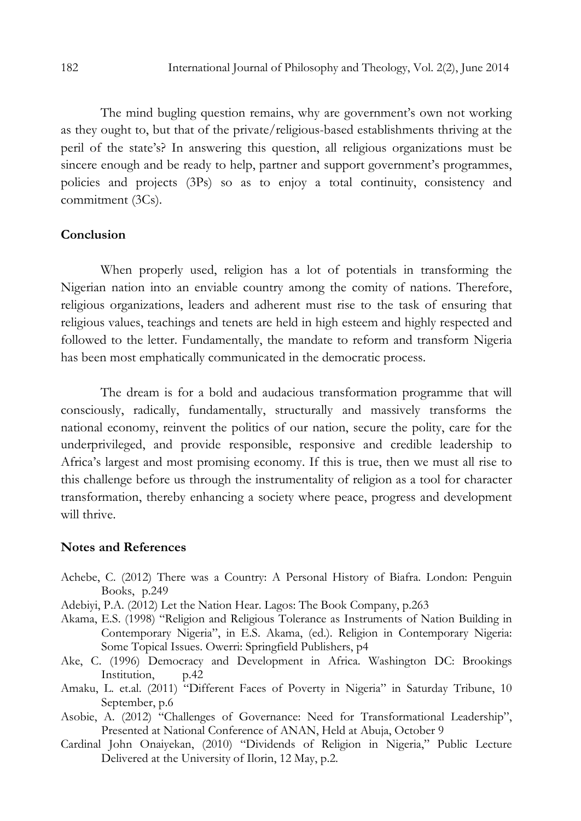The mind bugling question remains, why are government's own not working as they ought to, but that of the private/religious-based establishments thriving at the peril of the state's? In answering this question, all religious organizations must be sincere enough and be ready to help, partner and support government's programmes, policies and projects (3Ps) so as to enjoy a total continuity, consistency and commitment (3Cs).

### Conclusion

When properly used, religion has a lot of potentials in transforming the Nigerian nation into an enviable country among the comity of nations. Therefore, religious organizations, leaders and adherent must rise to the task of ensuring that religious values, teachings and tenets are held in high esteem and highly respected and followed to the letter. Fundamentally, the mandate to reform and transform Nigeria has been most emphatically communicated in the democratic process.

The dream is for a bold and audacious transformation programme that will consciously, radically, fundamentally, structurally and massively transforms the national economy, reinvent the politics of our nation, secure the polity, care for the underprivileged, and provide responsible, responsive and credible leadership to Africa's largest and most promising economy. If this is true, then we must all rise to this challenge before us through the instrumentality of religion as a tool for character transformation, thereby enhancing a society where peace, progress and development will thrive.

#### Notes and References

- Achebe, C. (2012) There was a Country: A Personal History of Biafra. London: Penguin Books, p.249
- Adebiyi, P.A. (2012) Let the Nation Hear. Lagos: The Book Company, p.263
- Akama, E.S. (1998) "Religion and Religious Tolerance as Instruments of Nation Building in Contemporary Nigeria", in E.S. Akama, (ed.). Religion in Contemporary Nigeria: Some Topical Issues. Owerri: Springfield Publishers, p4
- Ake, C. (1996) Democracy and Development in Africa. Washington DC: Brookings Institution, p.42
- Amaku, L. et.al. (2011) "Different Faces of Poverty in Nigeria" in Saturday Tribune, 10 September, p.6
- Asobie, A. (2012) "Challenges of Governance: Need for Transformational Leadership", Presented at National Conference of ANAN, Held at Abuja, October 9
- Cardinal John Onaiyekan, (2010) "Dividends of Religion in Nigeria," Public Lecture Delivered at the University of Ilorin, 12 May, p.2.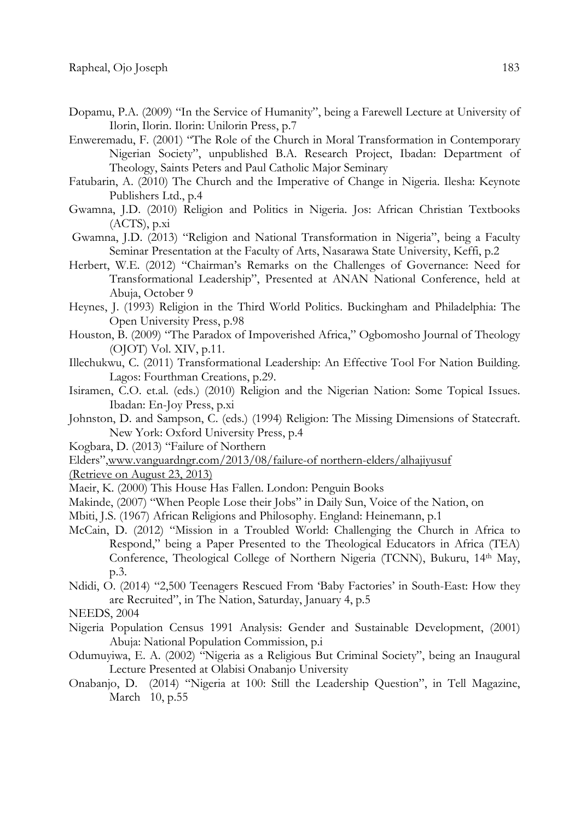- Dopamu, P.A. (2009) "In the Service of Humanity", being a Farewell Lecture at University of Ilorin, Ilorin. Ilorin: Unilorin Press, p.7
- Enweremadu, F. (2001) "The Role of the Church in Moral Transformation in Contemporary Nigerian Society", unpublished B.A. Research Project, Ibadan: Department of Theology, Saints Peters and Paul Catholic Major Seminary
- Fatubarin, A. (2010) The Church and the Imperative of Change in Nigeria. Ilesha: Keynote Publishers Ltd., p.4
- Gwamna, J.D. (2010) Religion and Politics in Nigeria. Jos: African Christian Textbooks  $(ACTS)$ , p.xi
- Gwamna, J.D. (2013) "Religion and National Transformation in Nigeria", being a Faculty Seminar Presentation at the Faculty of Arts, Nasarawa State University, Keffi, p.2
- Herbert, W.E. (2012) "Chairman's Remarks on the Challenges of Governance: Need for Transformational Leadership", Presented at ANAN National Conference, held at Abuja, October 9
- Heynes, J. (1993) Religion in the Third World Politics. Buckingham and Philadelphia: The Open University Press, p.98
- Houston, B. (2009) "The Paradox of Impoverished Africa," Ogbomosho Journal of Theology (OJOT) Vol. XIV, p.11.
- Illechukwu, C. (2011) Transformational Leadership: An Effective Tool For Nation Building. Lagos: Fourthman Creations, p.29.
- Isiramen, C.O. et.al. (eds.) (2010) Religion and the Nigerian Nation: Some Topical Issues. Ibadan: En-Joy Press, p.xi
- Johnston, D. and Sampson, C. (eds.) (1994) Religion: The Missing Dimensions of Statecraft. New York: Oxford University Press, p.4
- Kogbara, D. (2013) "Failure of Northern
- Elders",www.vanguardngr.com/2013/08/failure-of northern-elders/alhajiyusuf
- (Retrieve on August 23, 2013)
- Maeir, K. (2000) This House Has Fallen. London: Penguin Books
- Makinde, (2007) "When People Lose their Jobs" in Daily Sun, Voice of the Nation, on
- Mbiti, J.S. (1967) African Religions and Philosophy. England: Heinemann, p.1
- McCain, D. (2012) "Mission in a Troubled World: Challenging the Church in Africa to Respond," being a Paper Presented to the Theological Educators in Africa (TEA) Conference, Theological College of Northern Nigeria (TCNN), Bukuru, 14<sup>th</sup> May, p.3.
- Ndidi, O. (2014) "2,500 Teenagers Rescued From 'Baby Factories' in South-East: How they are Recruited", in The Nation, Saturday, January 4, p.5
- NEEDS, 2004
- Nigeria Population Census 1991 Analysis: Gender and Sustainable Development, (2001) Abuja: National Population Commission, p.i
- Odumuyiwa, E. A. (2002) "Nigeria as a Religious But Criminal Society", being an Inaugural Lecture Presented at Olabisi Onabanjo University
- Onabanjo, D. (2014) "Nigeria at 100: Still the Leadership Question", in Tell Magazine, March 10, p.55